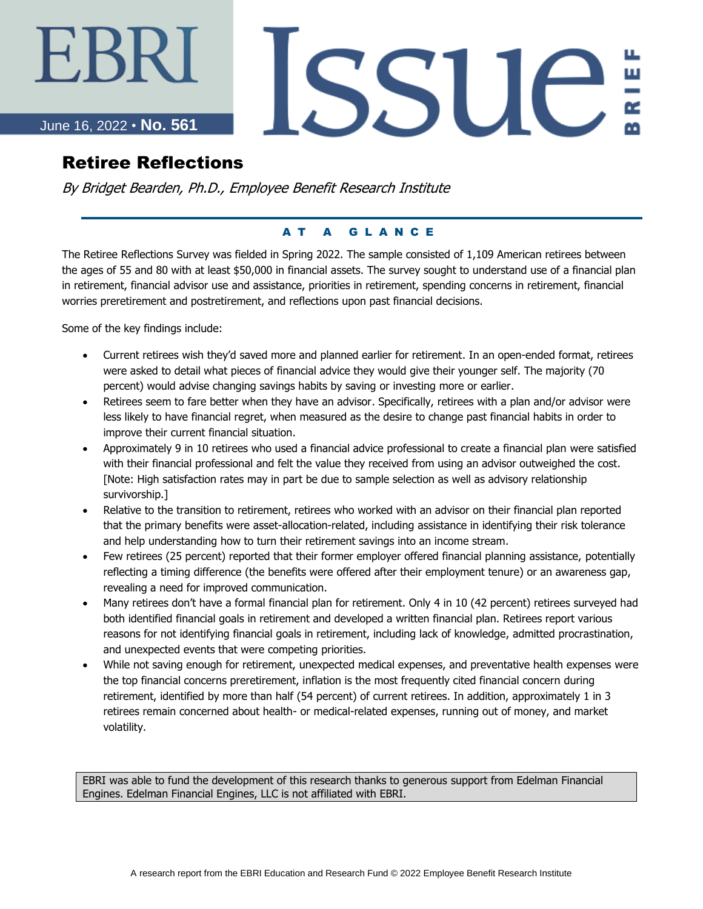# ∹BR.

### June 16, 2022 • **No. 561**

# Retiree Reflections

By Bridget Bearden, Ph.D., Employee Benefit Research Institute

#### A T A G L A N C E

SSUE

The Retiree Reflections Survey was fielded in Spring 2022. The sample consisted of 1,109 American retirees between the ages of 55 and 80 with at least \$50,000 in financial assets. The survey sought to understand use of a financial plan in retirement, financial advisor use and assistance, priorities in retirement, spending concerns in retirement, financial worries preretirement and postretirement, and reflections upon past financial decisions.

Some of the key findings include:

- Current retirees wish they'd saved more and planned earlier for retirement. In an open-ended format, retirees were asked to detail what pieces of financial advice they would give their younger self. The majority (70 percent) would advise changing savings habits by saving or investing more or earlier.
- Retirees seem to fare better when they have an advisor. Specifically, retirees with a plan and/or advisor were less likely to have financial regret, when measured as the desire to change past financial habits in order to improve their current financial situation.
- Approximately 9 in 10 retirees who used a financial advice professional to create a financial plan were satisfied with their financial professional and felt the value they received from using an advisor outweighed the cost. [Note: High satisfaction rates may in part be due to sample selection as well as advisory relationship survivorship.]
- Relative to the transition to retirement, retirees who worked with an advisor on their financial plan reported that the primary benefits were asset-allocation-related, including assistance in identifying their risk tolerance and help understanding how to turn their retirement savings into an income stream.
- Few retirees (25 percent) reported that their former employer offered financial planning assistance, potentially reflecting a timing difference (the benefits were offered after their employment tenure) or an awareness gap, revealing a need for improved communication.
- Many retirees don't have a formal financial plan for retirement. Only 4 in 10 (42 percent) retirees surveyed had both identified financial goals in retirement and developed a written financial plan. Retirees report various reasons for not identifying financial goals in retirement, including lack of knowledge, admitted procrastination, and unexpected events that were competing priorities.
- While not saving enough for retirement, unexpected medical expenses, and preventative health expenses were the top financial concerns preretirement, inflation is the most frequently cited financial concern during retirement, identified by more than half (54 percent) of current retirees. In addition, approximately 1 in 3 retirees remain concerned about health- or medical-related expenses, running out of money, and market volatility.

EBRI was able to fund the development of this research thanks to generous support from Edelman Financial Engines. Edelman Financial Engines, LLC is not affiliated with EBRI.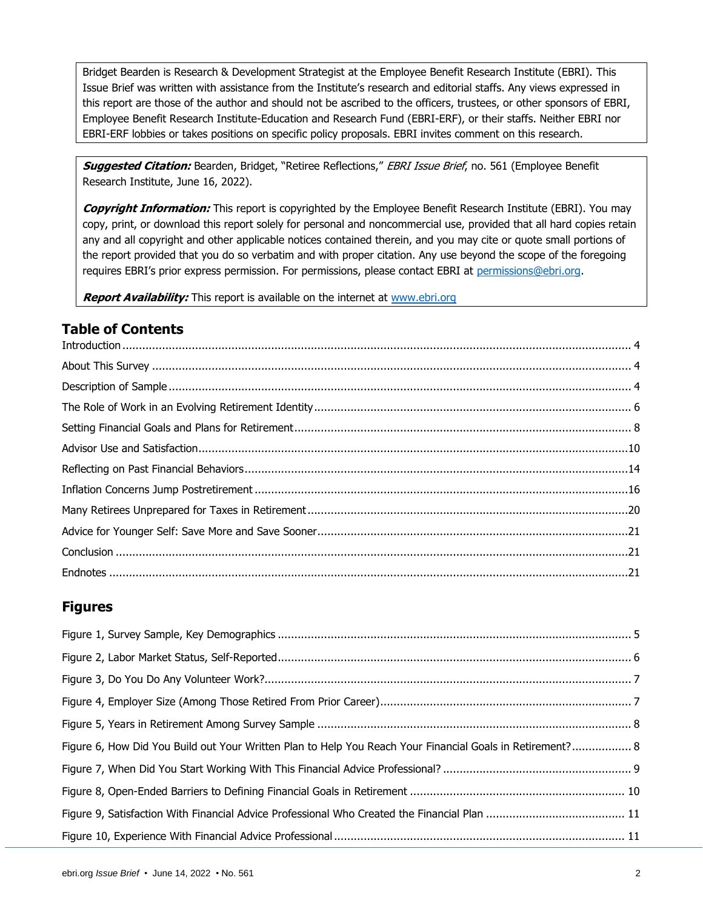Bridget Bearden is Research & Development Strategist at the Employee Benefit Research Institute (EBRI). This Issue Brief was written with assistance from the Institute's research and editorial staffs. Any views expressed in this report are those of the author and should not be ascribed to the officers, trustees, or other sponsors of EBRI, Employee Benefit Research Institute-Education and Research Fund (EBRI-ERF), or their staffs. Neither EBRI nor EBRI-ERF lobbies or takes positions on specific policy proposals. EBRI invites comment on this research.

**Suggested Citation:** Bearden, Bridget, "Retiree Reflections," EBRI Issue Brief, no. 561 (Employee Benefit Research Institute, June 16, 2022).

**Copyright Information:** This report is copyrighted by the Employee Benefit Research Institute (EBRI). You may copy, print, or download this report solely for personal and noncommercial use, provided that all hard copies retain any and all copyright and other applicable notices contained therein, and you may cite or quote small portions of the report provided that you do so verbatim and with proper citation. Any use beyond the scope of the foregoing requires EBRI's prior express permission. For permissions, please contact EBRI at [permissions@ebri.org.](mailto:permissions@ebri.org)

**Report Availability:** This report is available on the internet at [www.ebri.org](http://www.ebri.org/)

#### **Table of Contents**

#### **Figures**

| Figure 6, How Did You Build out Your Written Plan to Help You Reach Your Financial Goals in Retirement? 8 |  |
|-----------------------------------------------------------------------------------------------------------|--|
|                                                                                                           |  |
|                                                                                                           |  |
|                                                                                                           |  |
|                                                                                                           |  |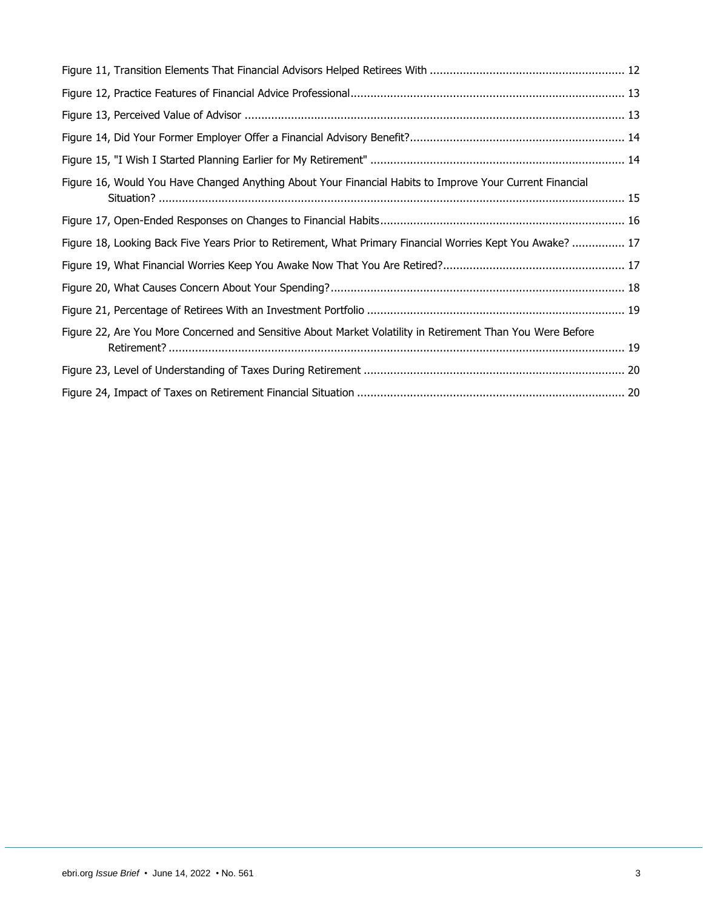| Figure 16, Would You Have Changed Anything About Your Financial Habits to Improve Your Current Financial   |  |
|------------------------------------------------------------------------------------------------------------|--|
|                                                                                                            |  |
| Figure 18, Looking Back Five Years Prior to Retirement, What Primary Financial Worries Kept You Awake?  17 |  |
|                                                                                                            |  |
|                                                                                                            |  |
|                                                                                                            |  |
| Figure 22, Are You More Concerned and Sensitive About Market Volatility in Retirement Than You Were Before |  |
|                                                                                                            |  |
|                                                                                                            |  |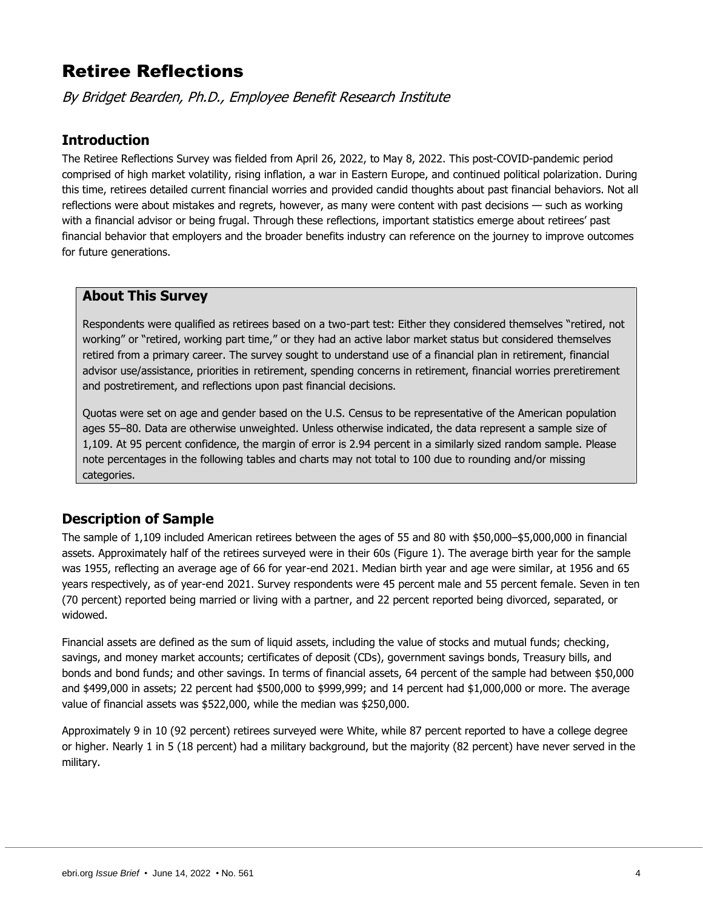# Retiree Reflections

By Bridget Bearden, Ph.D., Employee Benefit Research Institute

#### <span id="page-3-0"></span>**Introduction**

The Retiree Reflections Survey was fielded from April 26, 2022, to May 8, 2022. This post-COVID-pandemic period comprised of high market volatility, rising inflation, a war in Eastern Europe, and continued political polarization. During this time, retirees detailed current financial worries and provided candid thoughts about past financial behaviors. Not all reflections were about mistakes and regrets, however, as many were content with past decisions — such as working with a financial advisor or being frugal. Through these reflections, important statistics emerge about retirees' past financial behavior that employers and the broader benefits industry can reference on the journey to improve outcomes for future generations.

#### <span id="page-3-1"></span>**About This Survey**

Respondents were qualified as retirees based on a two-part test: Either they considered themselves "retired, not working" or "retired, working part time," or they had an active labor market status but considered themselves retired from a primary career. The survey sought to understand use of a financial plan in retirement, financial advisor use/assistance, priorities in retirement, spending concerns in retirement, financial worries preretirement and postretirement, and reflections upon past financial decisions.

Quotas were set on age and gender based on the U.S. Census to be representative of the American population ages 55–80. Data are otherwise unweighted. Unless otherwise indicated, the data represent a sample size of 1,109. At 95 percent confidence, the margin of error is 2.94 percent in a similarly sized random sample. Please note percentages in the following tables and charts may not total to 100 due to rounding and/or missing categories.

#### <span id="page-3-2"></span>**Description of Sample**

The sample of 1,109 included American retirees between the ages of 55 and 80 with \$50,000–\$5,000,000 in financial assets. Approximately half of the retirees surveyed were in their 60s (Figure 1). The average birth year for the sample was 1955, reflecting an average age of 66 for year-end 2021. Median birth year and age were similar, at 1956 and 65 years respectively, as of year-end 2021. Survey respondents were 45 percent male and 55 percent female. Seven in ten (70 percent) reported being married or living with a partner, and 22 percent reported being divorced, separated, or widowed.

Financial assets are defined as the sum of liquid assets, including the value of stocks and mutual funds; checking, savings, and money market accounts; certificates of deposit (CDs), government savings bonds, Treasury bills, and bonds and bond funds; and other savings. In terms of financial assets, 64 percent of the sample had between \$50,000 and \$499,000 in assets; 22 percent had \$500,000 to \$999,999; and 14 percent had \$1,000,000 or more. The average value of financial assets was \$522,000, while the median was \$250,000.

Approximately 9 in 10 (92 percent) retirees surveyed were White, while 87 percent reported to have a college degree or higher. Nearly 1 in 5 (18 percent) had a military background, but the majority (82 percent) have never served in the military.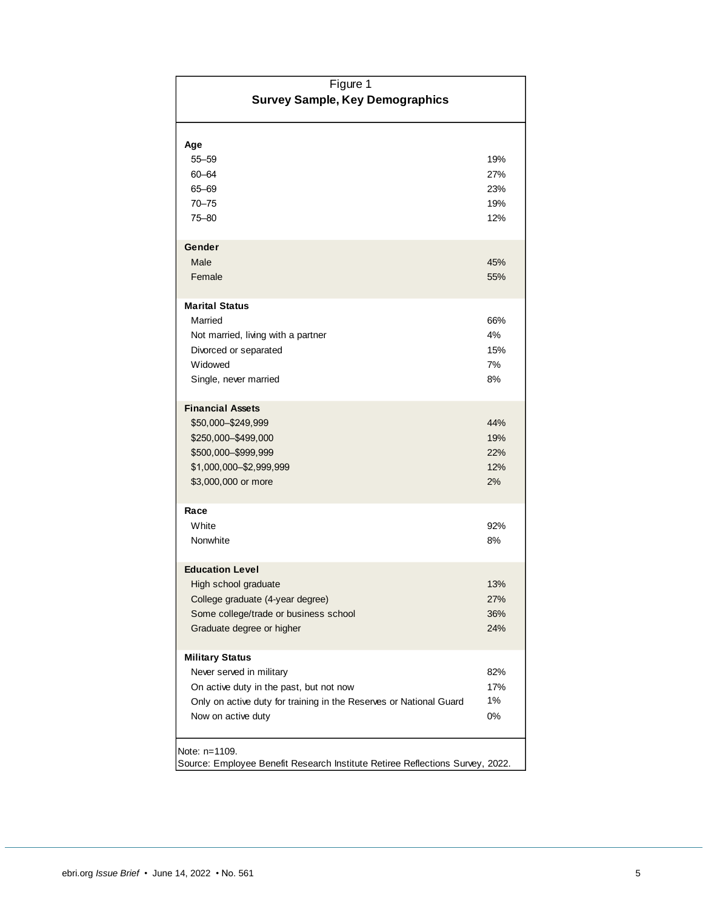| Figure 1                                                                                                                                                                                  |                                 |  |
|-------------------------------------------------------------------------------------------------------------------------------------------------------------------------------------------|---------------------------------|--|
| <b>Survey Sample, Key Demographics</b>                                                                                                                                                    |                                 |  |
| Age<br>$55 - 59$<br>60-64<br>65-69<br>$70 - 75$<br>75-80                                                                                                                                  | 19%<br>27%<br>23%<br>19%<br>12% |  |
| Gender<br>Male<br>Female                                                                                                                                                                  | 45%<br>55%                      |  |
| <b>Marital Status</b><br>Married<br>Not married, living with a partner<br>Divorced or separated<br>Widowed<br>Single, never married                                                       | 66%<br>4%<br>15%<br>7%<br>8%    |  |
| <b>Financial Assets</b><br>\$50,000 - \$249,999<br>\$250,000-\$499,000<br>\$500,000-\$999,999<br>\$1,000,000-\$2,999,999<br>\$3,000,000 or more                                           | 44%<br>19%<br>22%<br>12%<br>2%  |  |
| Race<br>White<br>Nonwhite                                                                                                                                                                 | 92%<br>8%                       |  |
| <b>Education Level</b><br>High school graduate<br>College graduate (4-year degree)<br>Some college/trade or business school<br>Graduate degree or higher                                  | 13%<br>27%<br>36%<br>24%        |  |
| <b>Military Status</b><br>Never served in military<br>On active duty in the past, but not now<br>Only on active duty for training in the Reserves or National Guard<br>Now on active duty | 82%<br>17%<br>1%<br>0%          |  |
| Note: n=1109.<br>Source: Employee Benefit Research Institute Retiree Reflections Survey, 2022.                                                                                            |                                 |  |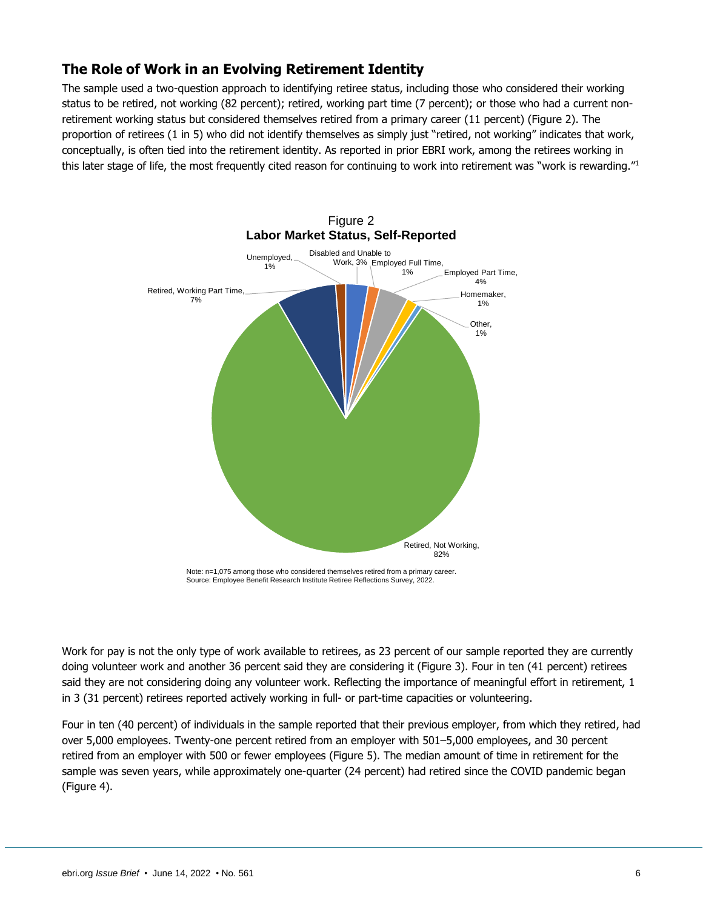#### <span id="page-5-0"></span>**The Role of Work in an Evolving Retirement Identity**

The sample used a two-question approach to identifying retiree status, including those who considered their working status to be retired, not working (82 percent); retired, working part time (7 percent); or those who had a current nonretirement working status but considered themselves retired from a primary career (11 percent) (Figure 2). The proportion of retirees (1 in 5) who did not identify themselves as simply just "retired, not working" indicates that work, conceptually, is often tied into the retirement identity. As reported in prior EBRI work, among the retirees working in this later stage of life, the most frequently cited reason for continuing to work into retirement was "work is rewarding."<sup>1</sup>



Note: n=1,075 among those who considered themselves retired from a primary career. Source: Employee Benefit Research Institute Retiree Reflections Survey, 2022.

Work for pay is not the only type of work available to retirees, as 23 percent of our sample reported they are currently doing volunteer work and another 36 percent said they are considering it (Figure 3). Four in ten (41 percent) retirees said they are not considering doing any volunteer work. Reflecting the importance of meaningful effort in retirement, 1 in 3 (31 percent) retirees reported actively working in full- or part-time capacities or volunteering.

Four in ten (40 percent) of individuals in the sample reported that their previous employer, from which they retired, had over 5,000 employees. Twenty-one percent retired from an employer with 501–5,000 employees, and 30 percent retired from an employer with 500 or fewer employees (Figure 5). The median amount of time in retirement for the sample was seven years, while approximately one-quarter (24 percent) had retired since the COVID pandemic began (Figure 4).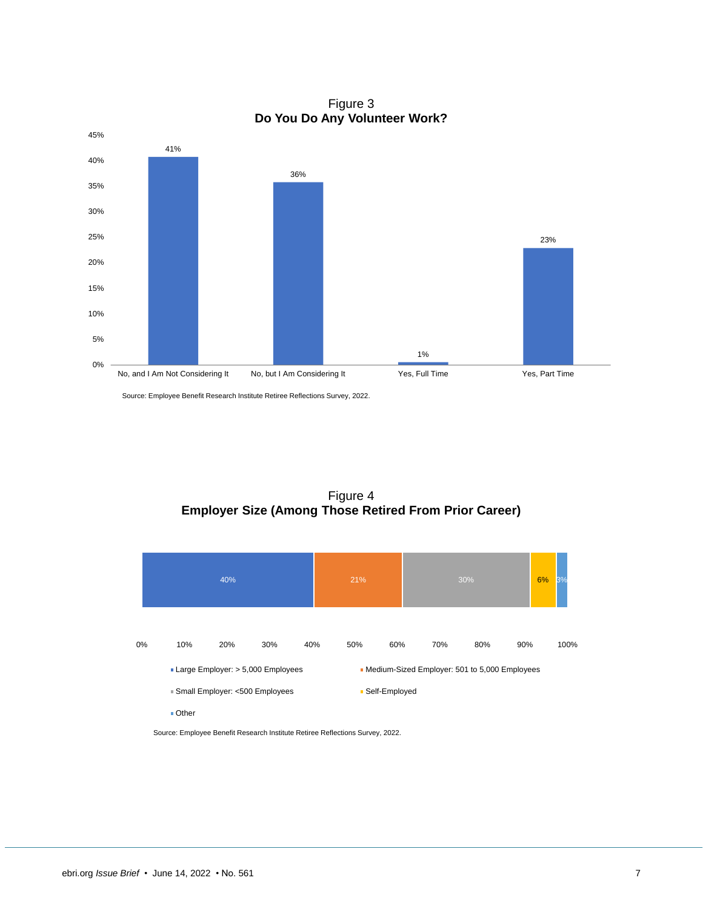Figure 3 **Do You Do Any Volunteer Work?**



Source: Employee Benefit Research Institute Retiree Reflections Survey, 2022.

Figure 4 **Employer Size (Among Those Retired From Prior Career)**

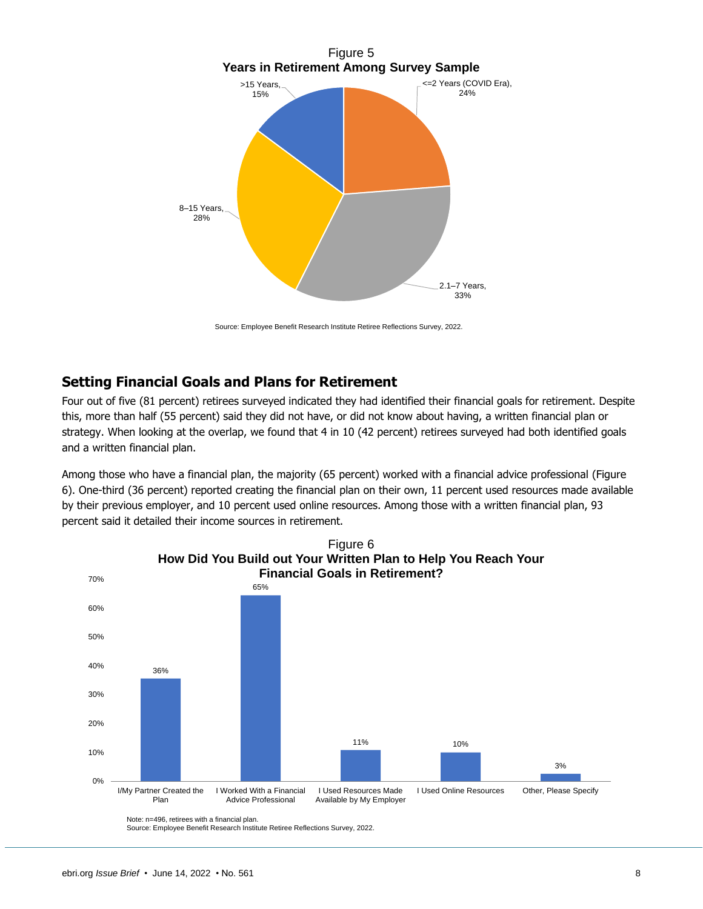

Source: Employee Benefit Research Institute Retiree Reflections Survey, 2022.

#### <span id="page-7-0"></span>**Setting Financial Goals and Plans for Retirement**

Four out of five (81 percent) retirees surveyed indicated they had identified their financial goals for retirement. Despite this, more than half (55 percent) said they did not have, or did not know about having, a written financial plan or strategy. When looking at the overlap, we found that 4 in 10 (42 percent) retirees surveyed had both identified goals and a written financial plan.

Among those who have a financial plan, the majority (65 percent) worked with a financial advice professional (Figure 6). One-third (36 percent) reported creating the financial plan on their own, 11 percent used resources made available by their previous employer, and 10 percent used online resources. Among those with a written financial plan, 93 percent said it detailed their income sources in retirement.

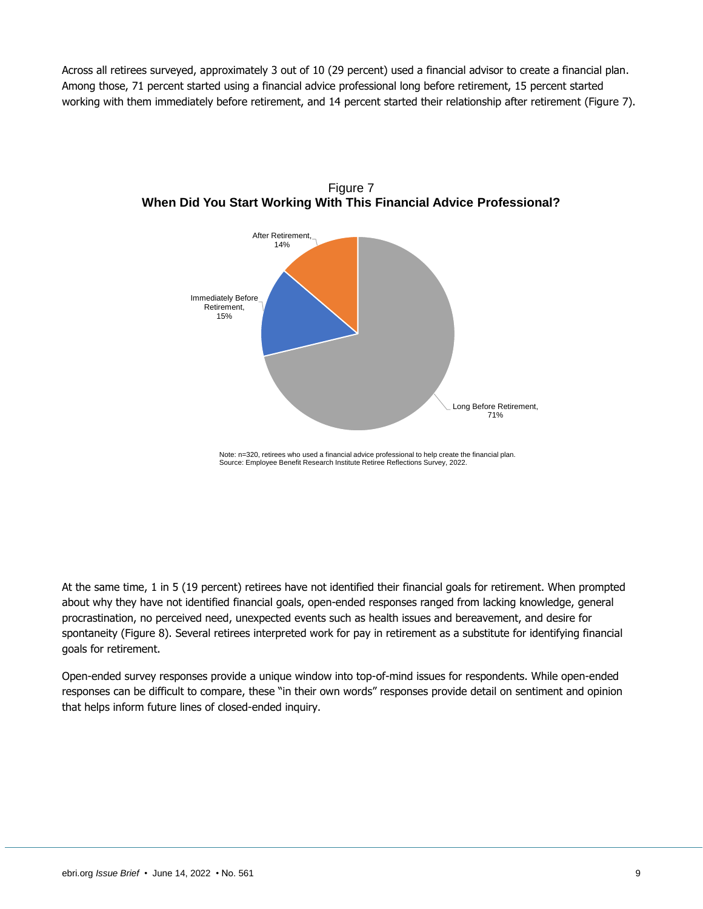Across all retirees surveyed, approximately 3 out of 10 (29 percent) used a financial advisor to create a financial plan. Among those, 71 percent started using a financial advice professional long before retirement, 15 percent started working with them immediately before retirement, and 14 percent started their relationship after retirement (Figure 7).



Figure 7 **When Did You Start Working With This Financial Advice Professional?**

Note: n=320, retirees who used a financial advice professional to help create the financial plan. Source: Employee Benefit Research Institute Retiree Reflections Survey, 2022.

At the same time, 1 in 5 (19 percent) retirees have not identified their financial goals for retirement. When prompted about why they have not identified financial goals, open-ended responses ranged from lacking knowledge, general procrastination, no perceived need, unexpected events such as health issues and bereavement, and desire for spontaneity (Figure 8). Several retirees interpreted work for pay in retirement as a substitute for identifying financial goals for retirement.

Open-ended survey responses provide a unique window into top-of-mind issues for respondents. While open-ended responses can be difficult to compare, these "in their own words" responses provide detail on sentiment and opinion that helps inform future lines of closed-ended inquiry.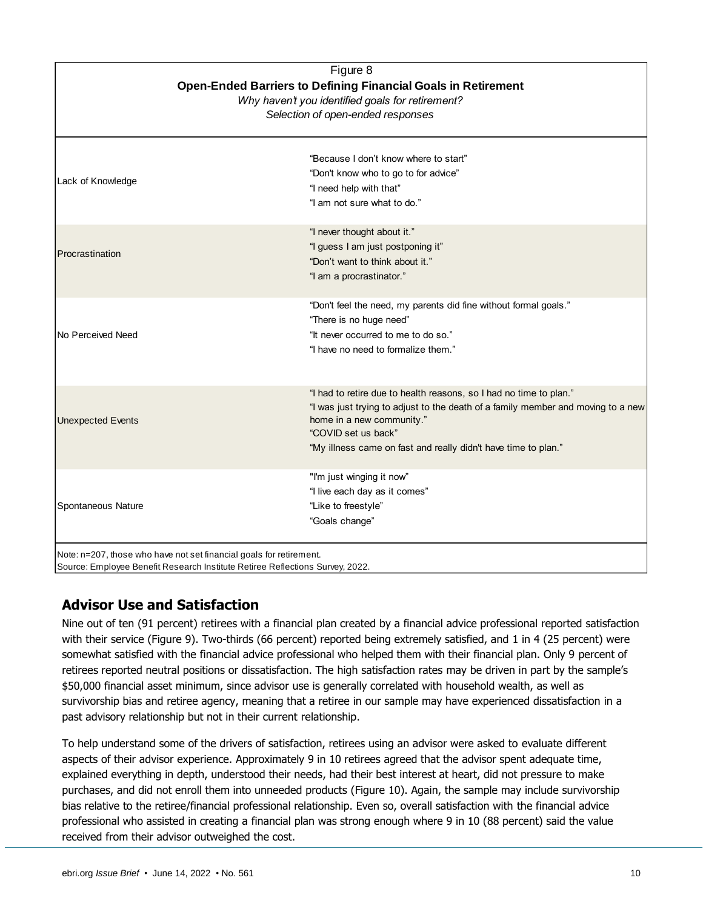| Figure 8<br>Open-Ended Barriers to Defining Financial Goals in Retirement<br>Why haven't you identified goals for retirement?<br>Selection of open-ended responses |                                                                                                                                                                                                                                                                              |
|--------------------------------------------------------------------------------------------------------------------------------------------------------------------|------------------------------------------------------------------------------------------------------------------------------------------------------------------------------------------------------------------------------------------------------------------------------|
| Lack of Knowledge                                                                                                                                                  | "Because I don't know where to start"<br>"Don't know who to go to for advice"<br>"I need help with that"<br>"I am not sure what to do."                                                                                                                                      |
| Procrastination                                                                                                                                                    | "I never thought about it."<br>"I guess I am just postponing it"<br>"Don't want to think about it."<br>"I am a procrastinator."                                                                                                                                              |
| <b>No Perceived Need</b>                                                                                                                                           | "Don't feel the need, my parents did fine without formal goals."<br>"There is no huge need"<br>"It never occurred to me to do so."<br>"I have no need to formalize them."                                                                                                    |
| <b>Unexpected Events</b>                                                                                                                                           | "I had to retire due to health reasons, so I had no time to plan."<br>"I was just trying to adjust to the death of a family member and moving to a new<br>home in a new community."<br>"COVID set us back"<br>"My illness came on fast and really didn't have time to plan." |
| Spontaneous Nature                                                                                                                                                 | "I'm just winging it now"<br>"I live each day as it comes"<br>"Like to freestyle"<br>"Goals change"                                                                                                                                                                          |

# <span id="page-9-0"></span>**Advisor Use and Satisfaction**

Nine out of ten (91 percent) retirees with a financial plan created by a financial advice professional reported satisfaction with their service (Figure 9). Two-thirds (66 percent) reported being extremely satisfied, and 1 in 4 (25 percent) were somewhat satisfied with the financial advice professional who helped them with their financial plan. Only 9 percent of retirees reported neutral positions or dissatisfaction. The high satisfaction rates may be driven in part by the sample's \$50,000 financial asset minimum, since advisor use is generally correlated with household wealth, as well as survivorship bias and retiree agency, meaning that a retiree in our sample may have experienced dissatisfaction in a past advisory relationship but not in their current relationship.

To help understand some of the drivers of satisfaction, retirees using an advisor were asked to evaluate different aspects of their advisor experience. Approximately 9 in 10 retirees agreed that the advisor spent adequate time, explained everything in depth, understood their needs, had their best interest at heart, did not pressure to make purchases, and did not enroll them into unneeded products (Figure 10). Again, the sample may include survivorship bias relative to the retiree/financial professional relationship. Even so, overall satisfaction with the financial advice professional who assisted in creating a financial plan was strong enough where 9 in 10 (88 percent) said the value received from their advisor outweighed the cost.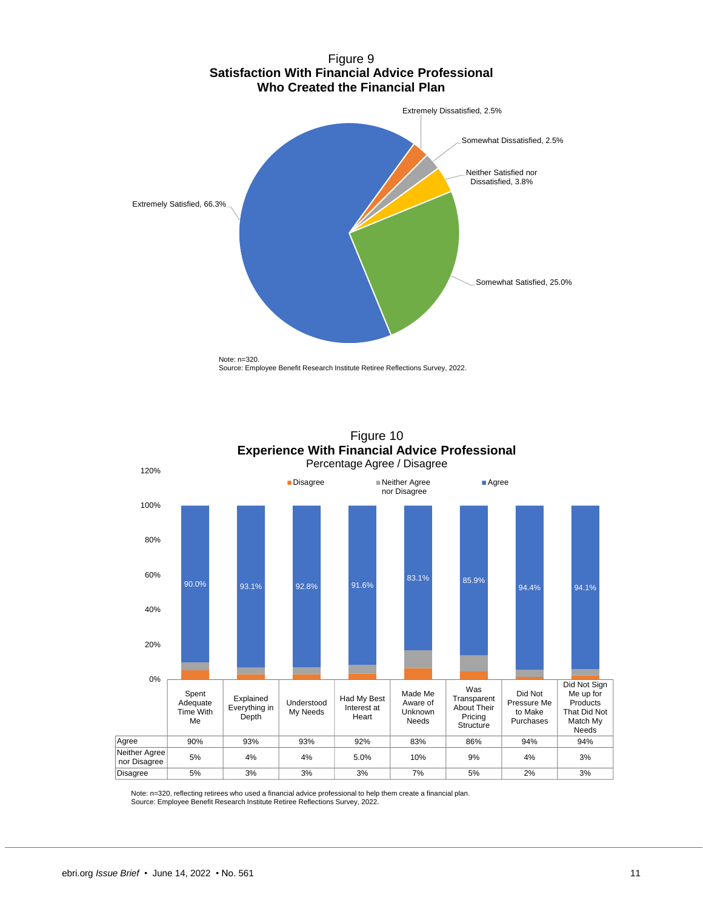





Note: n=320, reflecting retirees who used a financial advice professional to help them create a financial plan. Source: Employee Benefit Research Institute Retiree Reflections Survey, 2022.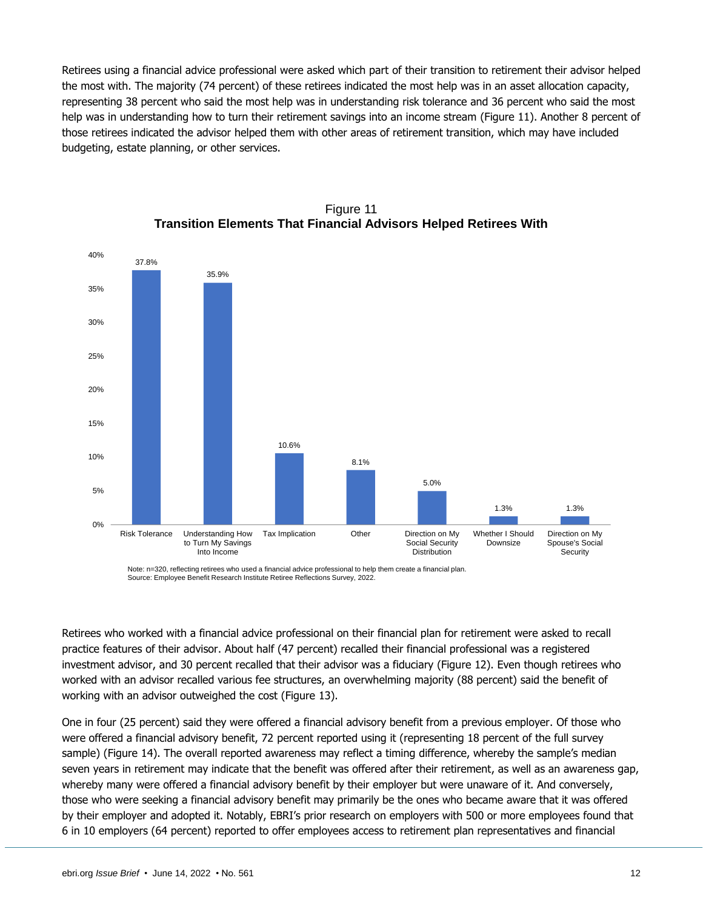Retirees using a financial advice professional were asked which part of their transition to retirement their advisor helped the most with. The majority (74 percent) of these retirees indicated the most help was in an asset allocation capacity, representing 38 percent who said the most help was in understanding risk tolerance and 36 percent who said the most help was in understanding how to turn their retirement savings into an income stream (Figure 11). Another 8 percent of those retirees indicated the advisor helped them with other areas of retirement transition, which may have included budgeting, estate planning, or other services.



Figure 11 **Transition Elements That Financial Advisors Helped Retirees With**

Note: n=320, reflecting retirees who used a financial advice professional to help them create a financial plan. Source: Employee Benefit Research Institute Retiree Reflections Survey, 2022.

Retirees who worked with a financial advice professional on their financial plan for retirement were asked to recall practice features of their advisor. About half (47 percent) recalled their financial professional was a registered investment advisor, and 30 percent recalled that their advisor was a fiduciary (Figure 12). Even though retirees who worked with an advisor recalled various fee structures, an overwhelming majority (88 percent) said the benefit of working with an advisor outweighed the cost (Figure 13).

One in four (25 percent) said they were offered a financial advisory benefit from a previous employer. Of those who were offered a financial advisory benefit, 72 percent reported using it (representing 18 percent of the full survey sample) (Figure 14). The overall reported awareness may reflect a timing difference, whereby the sample's median seven years in retirement may indicate that the benefit was offered after their retirement, as well as an awareness gap, whereby many were offered a financial advisory benefit by their employer but were unaware of it. And conversely, those who were seeking a financial advisory benefit may primarily be the ones who became aware that it was offered by their employer and adopted it. Notably, EBRI's prior research on employers with 500 or more employees found that 6 in 10 employers (64 percent) reported to offer employees access to retirement plan representatives and financial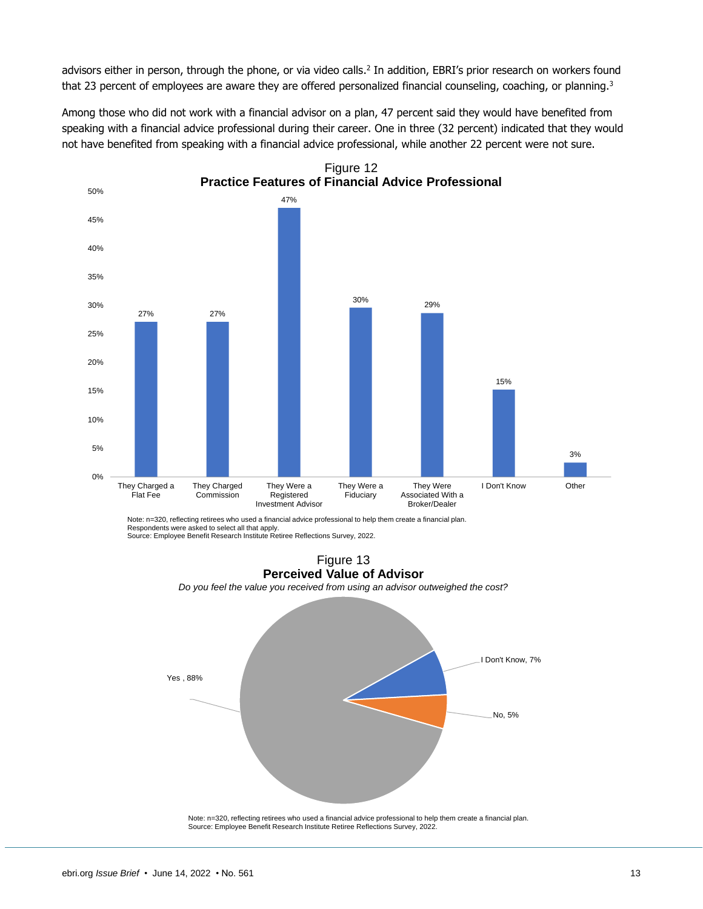advisors either in person, through the phone, or via video calls.<sup>2</sup> In addition, EBRI's prior research on workers found that 23 percent of employees are aware they are offered personalized financial counseling, coaching, or planning.<sup>3</sup>

Among those who did not work with a financial advisor on a plan, 47 percent said they would have benefited from speaking with a financial advice professional during their career. One in three (32 percent) indicated that they would not have benefited from speaking with a financial advice professional, while another 22 percent were not sure.



Note: n–320, reflecting retirees who used a financial advice professional to help them create a financial plan.<br>Respondents were asked to select all that apply.<br>Source: Employee Benefit Research Institute Retiree Reflecti



Note: n=320, reflecting retirees who used a financial advice professional to help them create a financial plan. Source: Employee Benefit Research Institute Retiree Reflections Survey, 2022.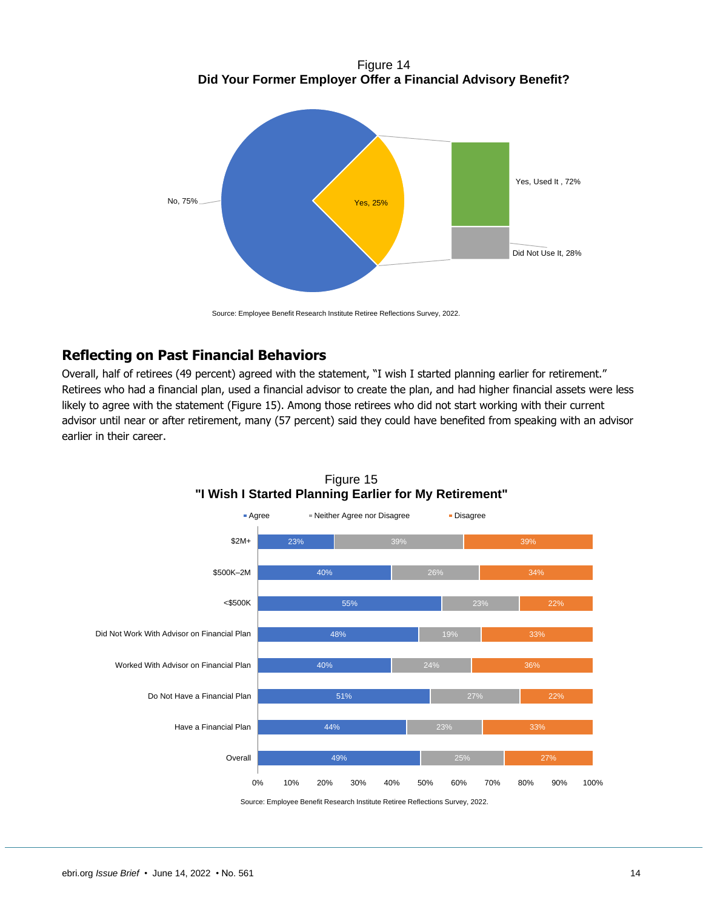Figure 14 **Did Your Former Employer Offer a Financial Advisory Benefit?**



Source: Employee Benefit Research Institute Retiree Reflections Survey, 2022.

## <span id="page-13-0"></span>**Reflecting on Past Financial Behaviors**

Overall, half of retirees (49 percent) agreed with the statement, "I wish I started planning earlier for retirement." Retirees who had a financial plan, used a financial advisor to create the plan, and had higher financial assets were less likely to agree with the statement (Figure 15). Among those retirees who did not start working with their current advisor until near or after retirement, many (57 percent) said they could have benefited from speaking with an advisor earlier in their career.



Figure 15 **"I Wish I Started Planning Earlier for My Retirement"**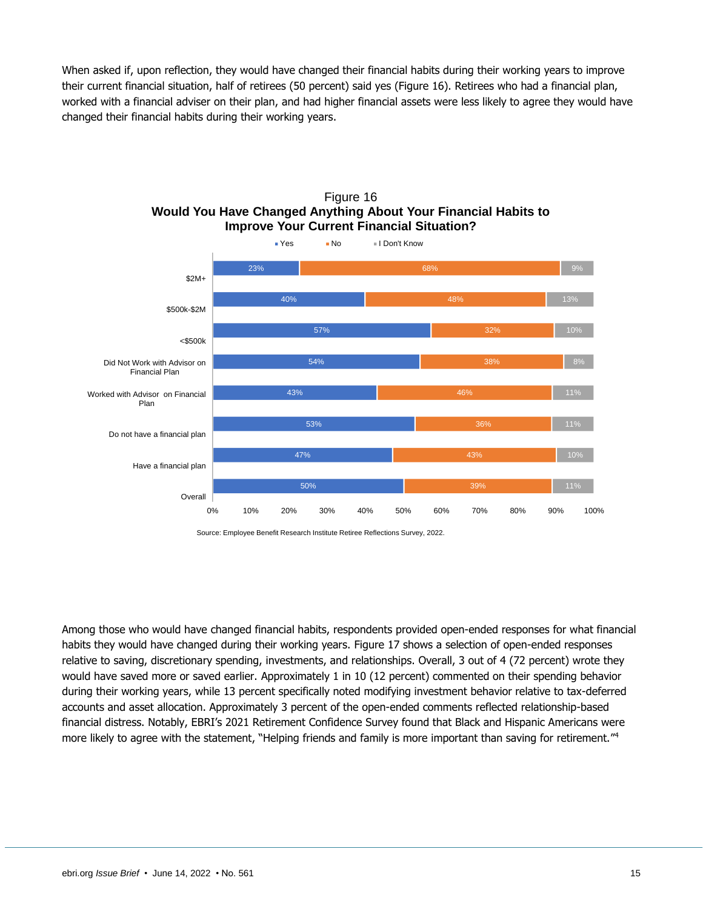When asked if, upon reflection, they would have changed their financial habits during their working years to improve their current financial situation, half of retirees (50 percent) said yes (Figure 16). Retirees who had a financial plan, worked with a financial adviser on their plan, and had higher financial assets were less likely to agree they would have changed their financial habits during their working years.



Figure 16 **Would You Have Changed Anything About Your Financial Habits to Improve Your Current Financial Situation?**

Among those who would have changed financial habits, respondents provided open-ended responses for what financial habits they would have changed during their working years. Figure 17 shows a selection of open-ended responses relative to saving, discretionary spending, investments, and relationships. Overall, 3 out of 4 (72 percent) wrote they would have saved more or saved earlier. Approximately 1 in 10 (12 percent) commented on their spending behavior during their working years, while 13 percent specifically noted modifying investment behavior relative to tax-deferred accounts and asset allocation. Approximately 3 percent of the open-ended comments reflected relationship-based financial distress. Notably, EBRI's 2021 Retirement Confidence Survey found that Black and Hispanic Americans were more likely to agree with the statement, "Helping friends and family is more important than saving for retirement."<sup>4</sup>

Source: Employee Benefit Research Institute Retiree Reflections Survey, 2022.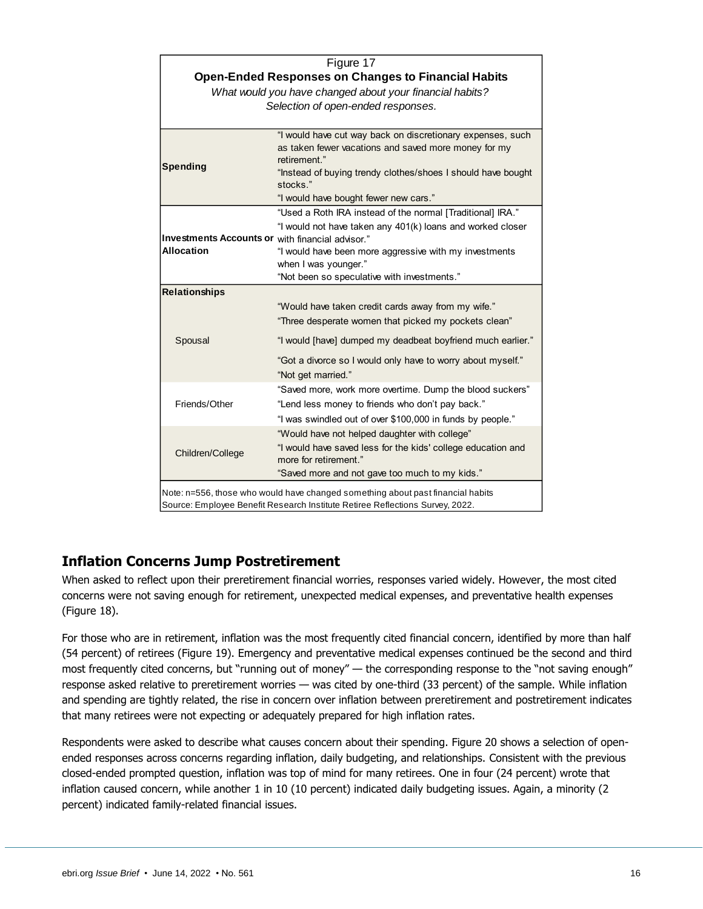| Figure 17                                                                        |                                                                                                                                                                                          |  |
|----------------------------------------------------------------------------------|------------------------------------------------------------------------------------------------------------------------------------------------------------------------------------------|--|
| <b>Open-Ended Responses on Changes to Financial Habits</b>                       |                                                                                                                                                                                          |  |
|                                                                                  | What would you have changed about your financial habits?                                                                                                                                 |  |
|                                                                                  | Selection of open-ended responses.                                                                                                                                                       |  |
|                                                                                  |                                                                                                                                                                                          |  |
| <b>Spending</b>                                                                  | "I would have cut way back on discretionary expenses, such<br>as taken fewer vacations and saved more money for my<br>retirement."                                                       |  |
|                                                                                  | "Instead of buying trendy clothes/shoes I should have bought<br>stocks."                                                                                                                 |  |
|                                                                                  | "I would have bought fewer new cars."                                                                                                                                                    |  |
| <b>Investments Accounts or with financial advisor."</b>                          | "Used a Roth IRA instead of the normal [Traditional] IRA."<br>"I would not have taken any 401(k) loans and worked closer                                                                 |  |
| <b>Allocation</b>                                                                | "I would have been more aggressive with my investments                                                                                                                                   |  |
|                                                                                  | when I was younger."                                                                                                                                                                     |  |
|                                                                                  | "Not been so speculative with investments."                                                                                                                                              |  |
| <b>Relationships</b>                                                             |                                                                                                                                                                                          |  |
|                                                                                  | "Would have taken credit cards away from my wife."<br>"Three desperate women that picked my pockets clean"                                                                               |  |
| Spousal                                                                          | "I would [have] dumped my deadbeat boyfriend much earlier."                                                                                                                              |  |
|                                                                                  | "Got a divorce so I would only have to worry about myself."<br>"Not get married."                                                                                                        |  |
| Friends/Other                                                                    | "Saved more, work more overtime. Dump the blood suckers"<br>"Lend less money to friends who don't pay back."<br>"I was swindled out of over \$100,000 in funds by people."               |  |
| Children/College                                                                 | "Would have not helped daughter with college"<br>"I would have saved less for the kids' college education and<br>more for retirement."<br>"Saved more and not gave too much to my kids." |  |
| Nato in EEC, those who would have abonned agreeables about poot financial hobita |                                                                                                                                                                                          |  |

Note: n=556, those who would have changed something about past financial habits Source: Employee Benefit Research Institute Retiree Reflections Survey, 2022.

# <span id="page-15-0"></span>**Inflation Concerns Jump Postretirement**

When asked to reflect upon their preretirement financial worries, responses varied widely. However, the most cited concerns were not saving enough for retirement, unexpected medical expenses, and preventative health expenses (Figure 18).

For those who are in retirement, inflation was the most frequently cited financial concern, identified by more than half (54 percent) of retirees (Figure 19). Emergency and preventative medical expenses continued be the second and third most frequently cited concerns, but "running out of money" — the corresponding response to the "not saving enough" response asked relative to preretirement worries — was cited by one-third (33 percent) of the sample. While inflation and spending are tightly related, the rise in concern over inflation between preretirement and postretirement indicates that many retirees were not expecting or adequately prepared for high inflation rates.

Respondents were asked to describe what causes concern about their spending. Figure 20 shows a selection of openended responses across concerns regarding inflation, daily budgeting, and relationships. Consistent with the previous closed-ended prompted question, inflation was top of mind for many retirees. One in four (24 percent) wrote that inflation caused concern, while another 1 in 10 (10 percent) indicated daily budgeting issues. Again, a minority (2 percent) indicated family-related financial issues.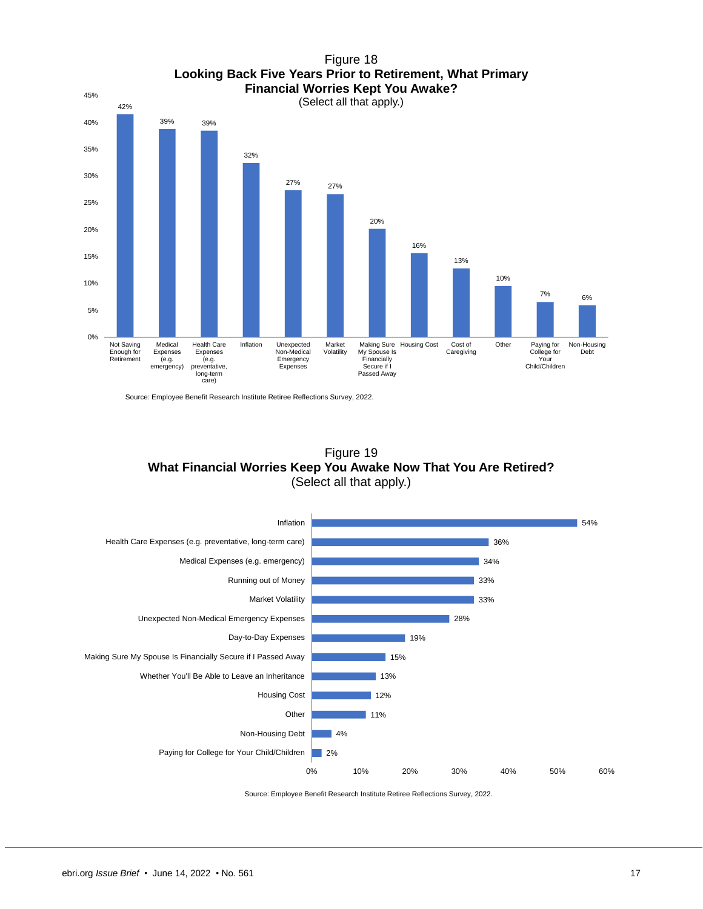



Source: Employee Benefit Research Institute Retiree Reflections Survey, 2022.



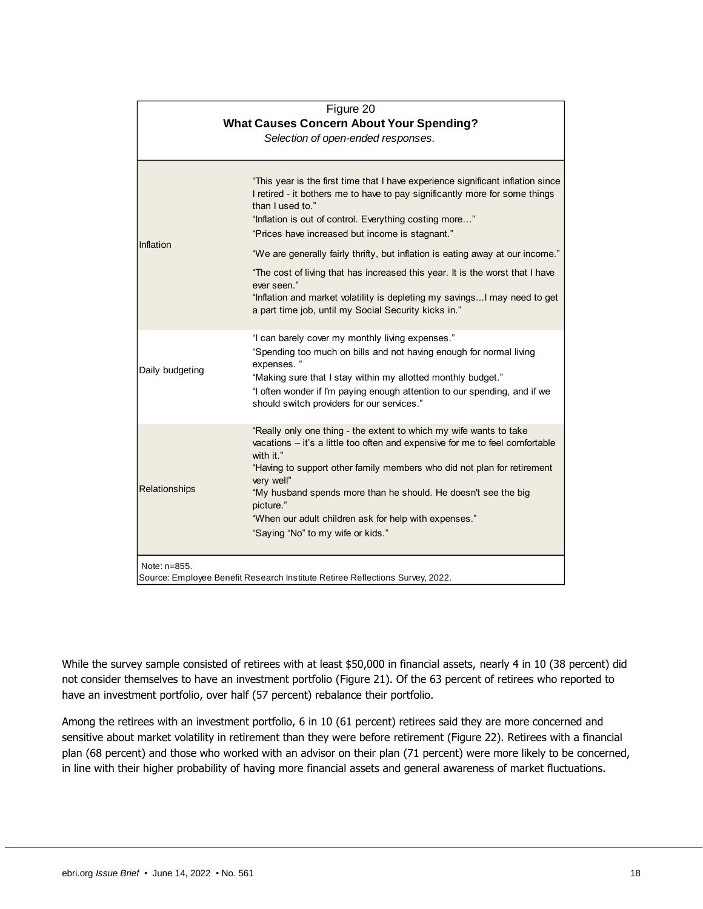| Figure 20<br><b>What Causes Concern About Your Spending?</b><br>Selection of open-ended responses. |                                                                                                                                                                                                                                                                                                                                                                                                                                                                                                                                                                                                                         |  |
|----------------------------------------------------------------------------------------------------|-------------------------------------------------------------------------------------------------------------------------------------------------------------------------------------------------------------------------------------------------------------------------------------------------------------------------------------------------------------------------------------------------------------------------------------------------------------------------------------------------------------------------------------------------------------------------------------------------------------------------|--|
| Inflation                                                                                          | "This year is the first time that I have experience significant inflation since<br>I retired - it bothers me to have to pay significantly more for some things<br>than I used to."<br>"Inflation is out of control. Everything costing more"<br>"Prices have increased but income is stagnant."<br>"We are generally fairly thrifty, but inflation is eating away at our income."<br>"The cost of living that has increased this year. It is the worst that I have<br>ever seen."<br>"Inflation and market volatility is depleting my savings I may need to get<br>a part time job, until my Social Security kicks in." |  |
| Daily budgeting                                                                                    | "I can barely cover my monthly living expenses."<br>"Spending too much on bills and not having enough for normal living<br>expenses. "<br>"Making sure that I stay within my allotted monthly budget."<br>"I often wonder if I'm paying enough attention to our spending, and if we<br>should switch providers for our services."                                                                                                                                                                                                                                                                                       |  |
| Relationships                                                                                      | "Really only one thing - the extent to which my wife wants to take<br>vacations - it's a little too often and expensive for me to feel comfortable<br>with it."<br>"Having to support other family members who did not plan for retirement<br>very well"<br>"My husband spends more than he should. He doesn't see the big<br>picture."<br>"When our adult children ask for help with expenses."<br>"Saying "No" to my wife or kids."                                                                                                                                                                                   |  |
| Note: n=855.<br>Source: Employee Benefit Research Institute Retiree Reflections Survey, 2022.      |                                                                                                                                                                                                                                                                                                                                                                                                                                                                                                                                                                                                                         |  |

While the survey sample consisted of retirees with at least \$50,000 in financial assets, nearly 4 in 10 (38 percent) did not consider themselves to have an investment portfolio (Figure 21). Of the 63 percent of retirees who reported to have an investment portfolio, over half (57 percent) rebalance their portfolio.

Among the retirees with an investment portfolio, 6 in 10 (61 percent) retirees said they are more concerned and sensitive about market volatility in retirement than they were before retirement (Figure 22). Retirees with a financial plan (68 percent) and those who worked with an advisor on their plan (71 percent) were more likely to be concerned, in line with their higher probability of having more financial assets and general awareness of market fluctuations.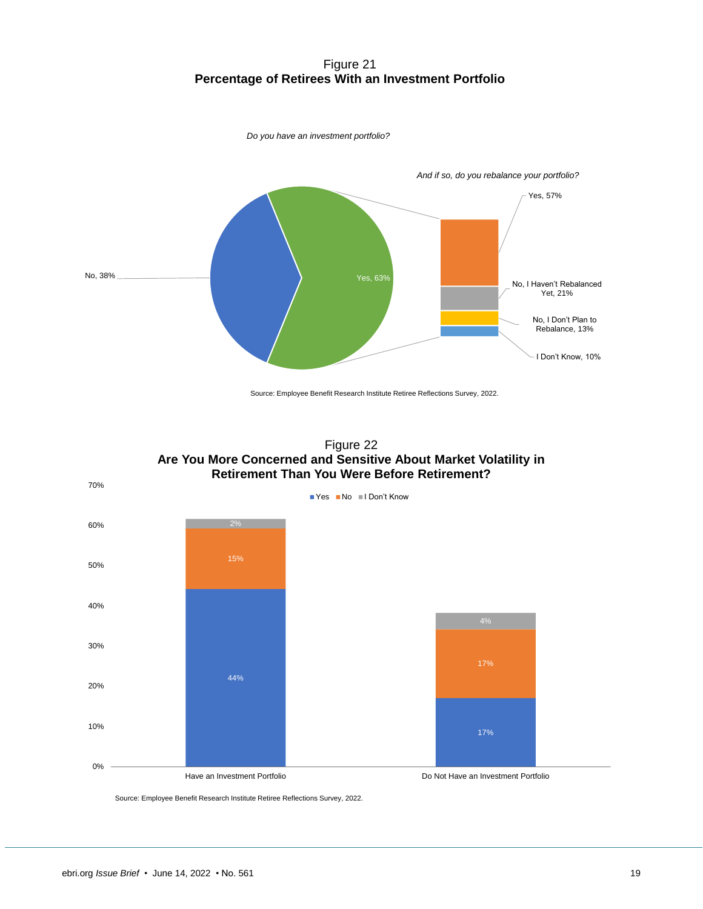#### Figure 21 **Percentage of Retirees With an Investment Portfolio**



Source: Employee Benefit Research Institute Retiree Reflections Survey, 2022.



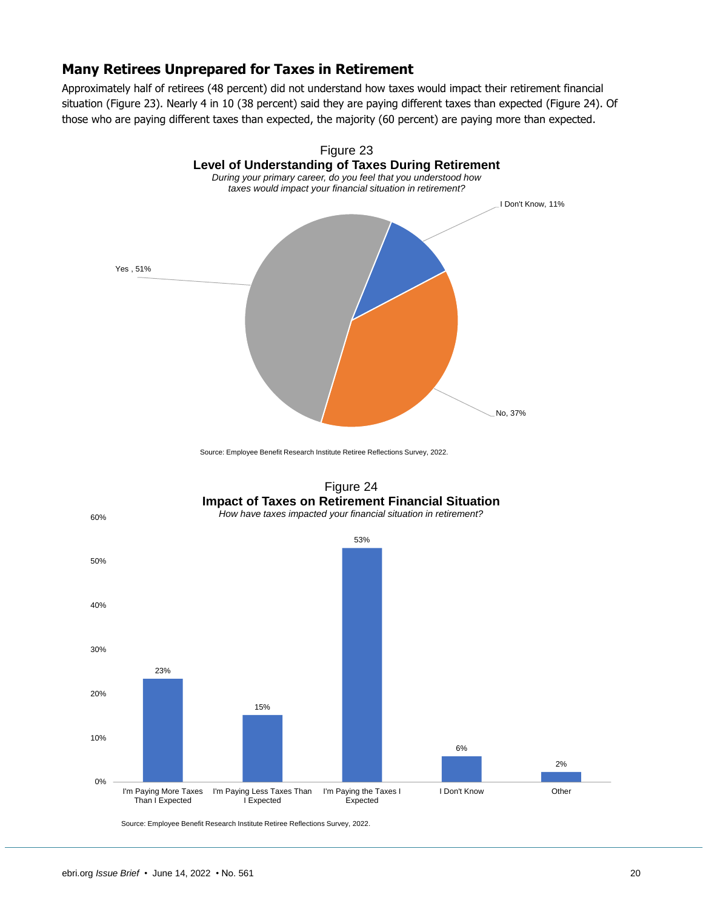#### <span id="page-19-0"></span>**Many Retirees Unprepared for Taxes in Retirement**

Approximately half of retirees (48 percent) did not understand how taxes would impact their retirement financial situation (Figure 23). Nearly 4 in 10 (38 percent) said they are paying different taxes than expected (Figure 24). Of those who are paying different taxes than expected, the majority (60 percent) are paying more than expected.